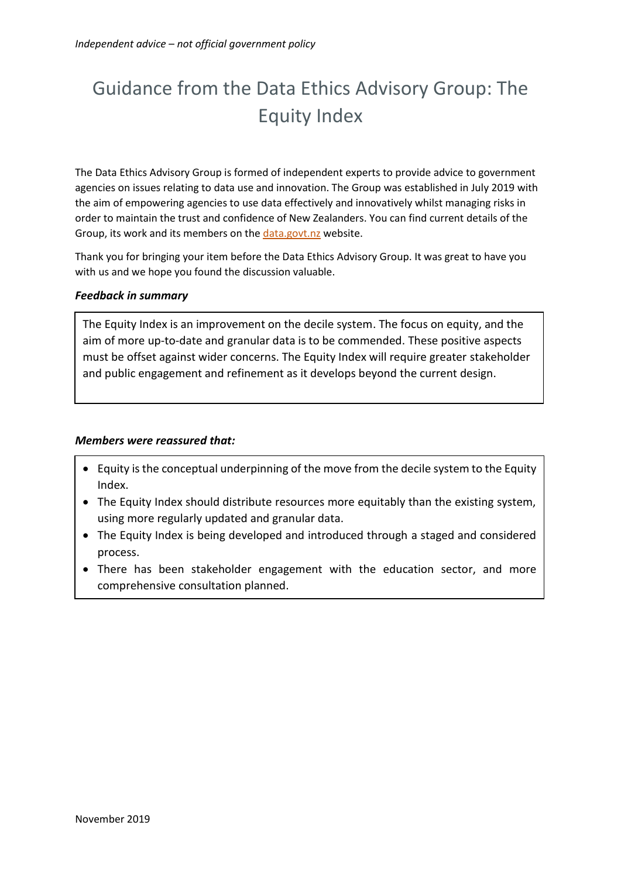# Guidance from the Data Ethics Advisory Group: The Equity Index

The Data Ethics Advisory Group is formed of independent experts to provide advice to government agencies on issues relating to data use and innovation. The Group was established in July 2019 with the aim of empowering agencies to use data effectively and innovatively whilst managing risks in order to maintain the trust and confidence of New Zealanders. You can find current details of the Group, its work and its members on the<data.govt.nz> website.

Thank you for bringing your item before the Data Ethics Advisory Group. It was great to have you with us and we hope you found the discussion valuable.

### *Feedback in summary*

The Equity Index is an improvement on the decile system. The focus on equity, and the aim of more up-to-date and granular data is to be commended. These positive aspects must be offset against wider concerns. The Equity Index will require greater stakeholder and public engagement and refinement as it develops beyond the current design.

#### *Members were reassured that:*

- Equity is the conceptual underpinning of the move from the decile system to the Equity Index.
- The Equity Index should distribute resources more equitably than the existing system, using more regularly updated and granular data.
- The Equity Index is being developed and introduced through a staged and considered process.
- There has been stakeholder engagement with the education sector, and more comprehensive consultation planned.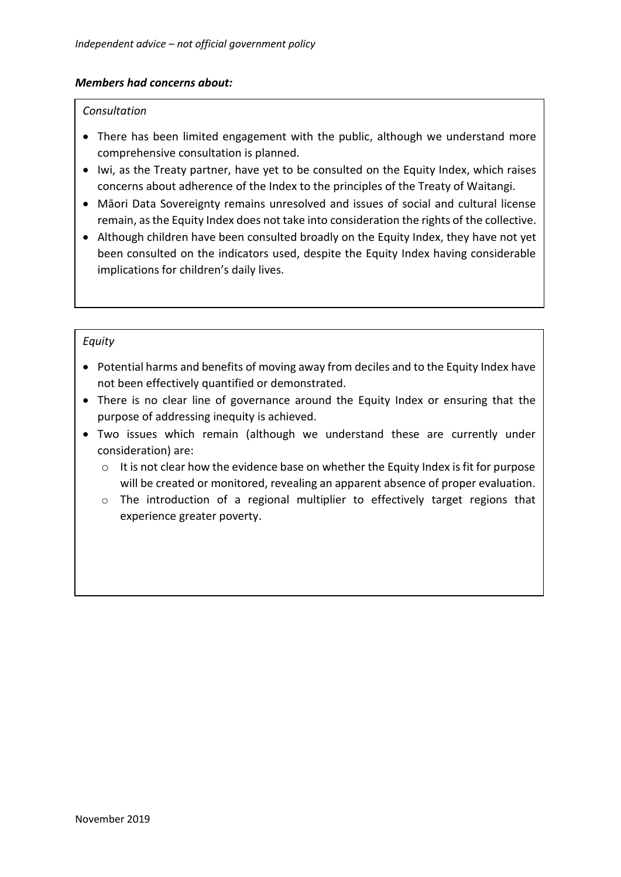### *Members had concerns about:*

#### *Consultation*

- There has been limited engagement with the public, although we understand more comprehensive consultation is planned.
- Iwi, as the Treaty partner, have yet to be consulted on the Equity Index, which raises concerns about adherence of the Index to the principles of the Treaty of Waitangi.
- Māori Data Sovereignty remains unresolved and issues of social and cultural license remain, as the Equity Index does not take into consideration the rights of the collective.
- Although children have been consulted broadly on the Equity Index, they have not yet been consulted on the indicators used, despite the Equity Index having considerable implications for children's daily lives.

### *Equity*

- Potential harms and benefits of moving away from deciles and to the Equity Index have not been effectively quantified or demonstrated.
- There is no clear line of governance around the Equity Index or ensuring that the purpose of addressing inequity is achieved.
- Two issues which remain (although we understand these are currently under consideration) are:
	- o It is not clear how the evidence base on whether the Equity Index is fit for purpose will be created or monitored, revealing an apparent absence of proper evaluation.
	- o The introduction of a regional multiplier to effectively target regions that experience greater poverty.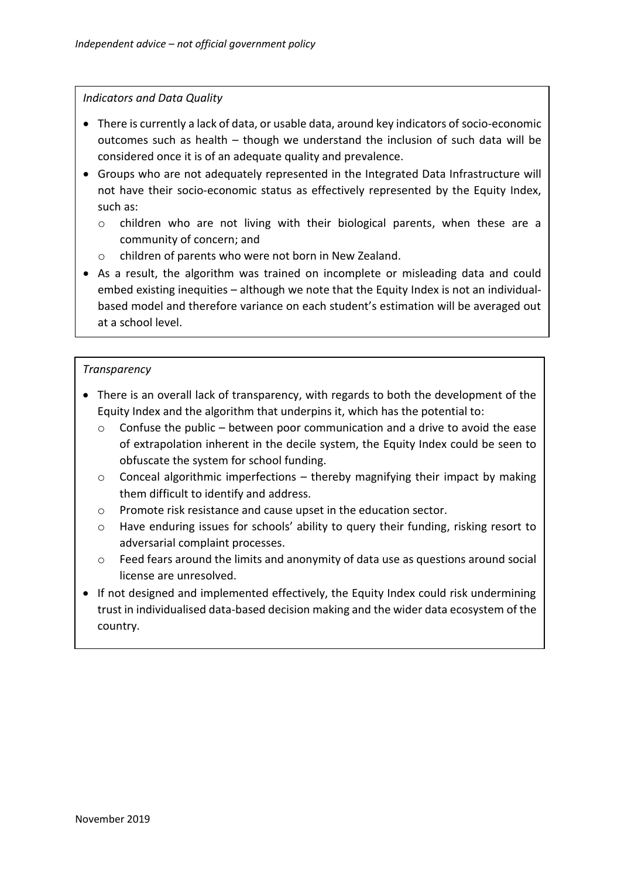### *Indicators and Data Quality*

- There is currently a lack of data, or usable data, around key indicators of socio-economic outcomes such as health – though we understand the inclusion of such data will be considered once it is of an adequate quality and prevalence.
- Groups who are not adequately represented in the Integrated Data Infrastructure will not have their socio-economic status as effectively represented by the Equity Index, such as:
	- o children who are not living with their biological parents, when these are a community of concern; and
	- o children of parents who were not born in New Zealand.
- As a result, the algorithm was trained on incomplete or misleading data and could embed existing inequities – although we note that the Equity Index is not an individualbased model and therefore variance on each student's estimation will be averaged out at a school level.

# *Transparency*

- There is an overall lack of transparency, with regards to both the development of the Equity Index and the algorithm that underpins it, which has the potential to:
	- $\circ$  Confuse the public between poor communication and a drive to avoid the ease of extrapolation inherent in the decile system, the Equity Index could be seen to obfuscate the system for school funding.
	- $\circ$  Conceal algorithmic imperfections thereby magnifying their impact by making them difficult to identify and address.
	- o Promote risk resistance and cause upset in the education sector.
	- o Have enduring issues for schools' ability to query their funding, risking resort to adversarial complaint processes.
	- o Feed fears around the limits and anonymity of data use as questions around social license are unresolved.
- If not designed and implemented effectively, the Equity Index could risk undermining trust in individualised data-based decision making and the wider data ecosystem of the country.